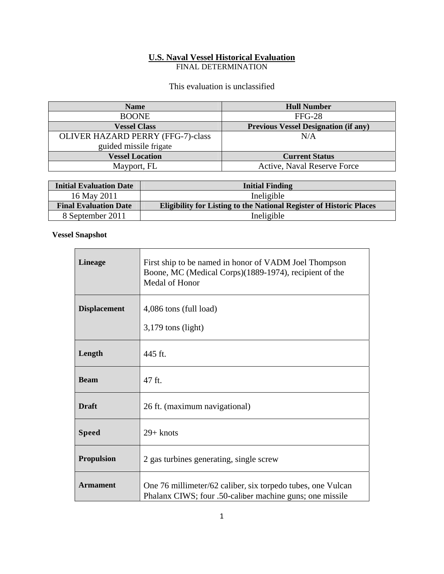# **U.S. Naval Vessel Historical Evaluation**

FINAL DETERMINATION

This evaluation is unclassified

| <b>Name</b>                              | <b>Hull Number</b>                          |
|------------------------------------------|---------------------------------------------|
| <b>BOONE</b>                             | $FFG-28$                                    |
| <b>Vessel Class</b>                      | <b>Previous Vessel Designation (if any)</b> |
| <b>OLIVER HAZARD PERRY (FFG-7)-class</b> | N/A                                         |
| guided missile frigate                   |                                             |
| <b>Vessel Location</b>                   | <b>Current Status</b>                       |
| Mayport, FL                              | <b>Active, Naval Reserve Force</b>          |

| <b>Initial Evaluation Date</b> | <b>Initial Finding</b>                                                     |
|--------------------------------|----------------------------------------------------------------------------|
| 16 May 2011                    | Ineligible                                                                 |
| <b>Final Evaluation Date</b>   | <b>Eligibility for Listing to the National Register of Historic Places</b> |
| 8 September 2011               | Ineligible                                                                 |

 $\overline{\phantom{0}}$ 

#### **Vessel Snapshot**

| <b>Lineage</b>      | First ship to be named in honor of VADM Joel Thompson<br>Boone, MC (Medical Corps)(1889-1974), recipient of the<br>Medal of Honor |
|---------------------|-----------------------------------------------------------------------------------------------------------------------------------|
| <b>Displacement</b> | 4,086 tons (full load)<br>$3,179$ tons (light)                                                                                    |
| Length              | 445 ft.                                                                                                                           |
| <b>Beam</b>         | 47 ft.                                                                                                                            |
| <b>Draft</b>        | 26 ft. (maximum navigational)                                                                                                     |
| <b>Speed</b>        | $29 +$ knots                                                                                                                      |
| <b>Propulsion</b>   | 2 gas turbines generating, single screw                                                                                           |
| <b>Armament</b>     | One 76 millimeter/62 caliber, six torpedo tubes, one Vulcan<br>Phalanx CIWS; four .50-caliber machine guns; one missile           |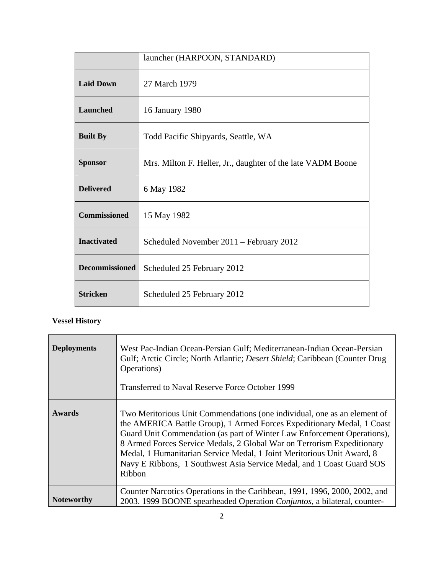|                       | launcher (HARPOON, STANDARD)                                |
|-----------------------|-------------------------------------------------------------|
| <b>Laid Down</b>      | 27 March 1979                                               |
| <b>Launched</b>       | 16 January 1980                                             |
| <b>Built By</b>       | Todd Pacific Shipyards, Seattle, WA                         |
| <b>Sponsor</b>        | Mrs. Milton F. Heller, Jr., daughter of the late VADM Boone |
| <b>Delivered</b>      | 6 May 1982                                                  |
| <b>Commissioned</b>   | 15 May 1982                                                 |
| <b>Inactivated</b>    | Scheduled November 2011 – February 2012                     |
| <b>Decommissioned</b> | Scheduled 25 February 2012                                  |
| <b>Stricken</b>       | Scheduled 25 February 2012                                  |

## **Vessel History**

| <b>Deployments</b> | West Pac-Indian Ocean-Persian Gulf; Mediterranean-Indian Ocean-Persian<br>Gulf; Arctic Circle; North Atlantic; Desert Shield; Caribbean (Counter Drug)<br>Operations)<br>Transferred to Naval Reserve Force October 1999                                                                                                                                                                                                                                             |
|--------------------|----------------------------------------------------------------------------------------------------------------------------------------------------------------------------------------------------------------------------------------------------------------------------------------------------------------------------------------------------------------------------------------------------------------------------------------------------------------------|
| <b>Awards</b>      | Two Meritorious Unit Commendations (one individual, one as an element of<br>the AMERICA Battle Group), 1 Armed Forces Expeditionary Medal, 1 Coast<br>Guard Unit Commendation (as part of Winter Law Enforcement Operations),<br>8 Armed Forces Service Medals, 2 Global War on Terrorism Expeditionary<br>Medal, 1 Humanitarian Service Medal, 1 Joint Meritorious Unit Award, 8<br>Navy E Ribbons, 1 Southwest Asia Service Medal, and 1 Coast Guard SOS<br>Ribbon |
| <b>Noteworthy</b>  | Counter Narcotics Operations in the Caribbean, 1991, 1996, 2000, 2002, and<br>2003. 1999 BOONE spearheaded Operation <i>Conjuntos</i> , a bilateral, counter-                                                                                                                                                                                                                                                                                                        |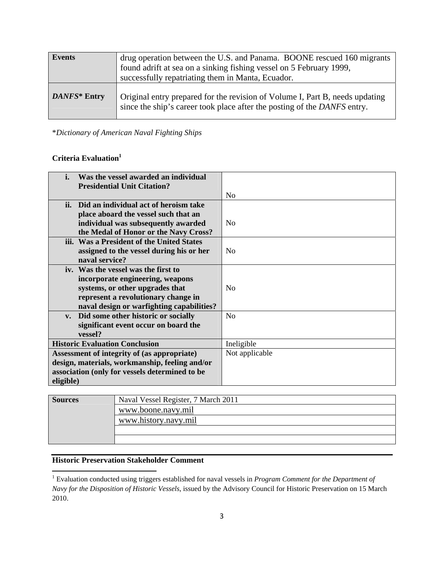| Events       | drug operation between the U.S. and Panama. BOONE rescued 160 migrants<br>found adrift at sea on a sinking fishing vessel on 5 February 1999,<br>successfully repatriating them in Manta, Ecuador. |
|--------------|----------------------------------------------------------------------------------------------------------------------------------------------------------------------------------------------------|
| DANFS* Entry | Original entry prepared for the revision of Volume I, Part B, needs updating<br>since the ship's career took place after the posting of the DANFS entry.                                           |

\**Dictionary of American Naval Fighting Ships*

#### **Criteria Evaluation**<sup>1</sup>

| i.<br>Was the vessel awarded an individual     |                |
|------------------------------------------------|----------------|
| <b>Presidential Unit Citation?</b>             |                |
|                                                | No             |
| Did an individual act of heroism take<br>ii.   |                |
| place aboard the vessel such that an           |                |
| individual was subsequently awarded            | No             |
| the Medal of Honor or the Navy Cross?          |                |
| iii. Was a President of the United States      |                |
| assigned to the vessel during his or her       | No             |
| naval service?                                 |                |
| iv. Was the vessel was the first to            |                |
| incorporate engineering, weapons               |                |
| systems, or other upgrades that                | N <sub>0</sub> |
| represent a revolutionary change in            |                |
| naval design or warfighting capabilities?      |                |
| v. Did some other historic or socially         | N <sub>o</sub> |
| significant event occur on board the           |                |
| vessel?                                        |                |
| <b>Historic Evaluation Conclusion</b>          | Ineligible     |
| Assessment of integrity of (as appropriate)    | Not applicable |
| design, materials, workmanship, feeling and/or |                |
| association (only for vessels determined to be |                |
| eligible)                                      |                |

| <b>Sources</b> | Naval Vessel Register, 7 March 2011 |  |
|----------------|-------------------------------------|--|
|                | www.boone.navy.mil                  |  |
|                | www.history.navy.mil                |  |
|                |                                     |  |
|                |                                     |  |

## **Historic Preservation Stakeholder Comment**

 1 Evaluation conducted using triggers established for naval vessels in *Program Comment for the Department of Navy for the Disposition of Historic Vessels*, issued by the Advisory Council for Historic Preservation on 15 March 2010.